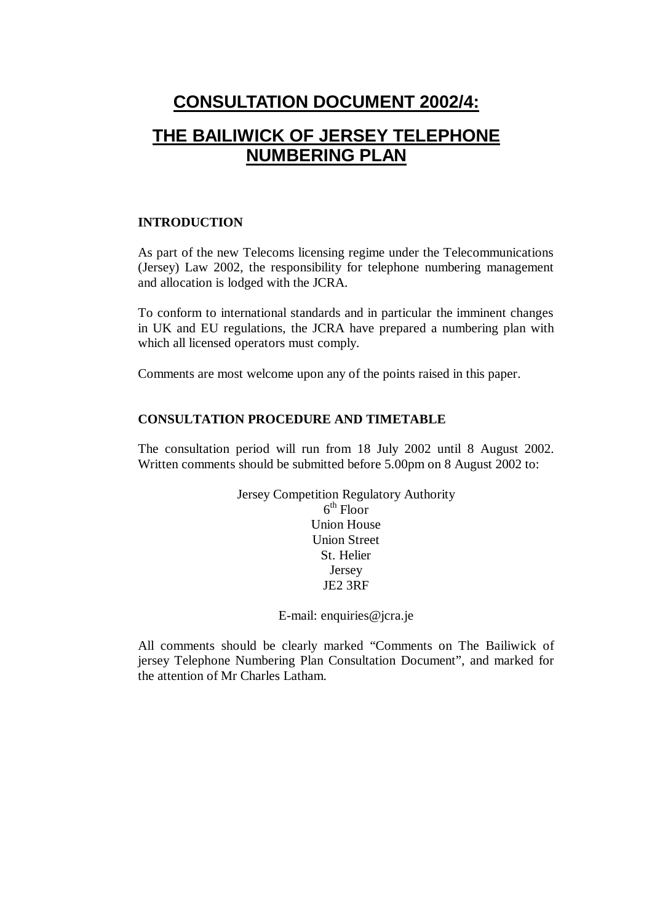# **CONSULTATION DOCUMENT 2002/4: THE BAILIWICK OF JERSEY TELEPHONE NUMBERING PLAN**

#### **INTRODUCTION**

As part of the new Telecoms licensing regime under the Telecommunications (Jersey) Law 2002, the responsibility for telephone numbering management and allocation is lodged with the JCRA.

To conform to international standards and in particular the imminent changes in UK and EU regulations, the JCRA have prepared a numbering plan with which all licensed operators must comply.

Comments are most welcome upon any of the points raised in this paper.

#### **CONSULTATION PROCEDURE AND TIMETABLE**

The consultation period will run from 18 July 2002 until 8 August 2002. Written comments should be submitted before 5.00pm on 8 August 2002 to:

> Jersey Competition Regulatory Authority  $6<sup>th</sup>$  Floor Union House Union Street St. Helier Jersey JE2 3RF

> > E-mail: enquiries@jcra.je

All comments should be clearly marked "Comments on The Bailiwick of jersey Telephone Numbering Plan Consultation Document", and marked for the attention of Mr Charles Latham.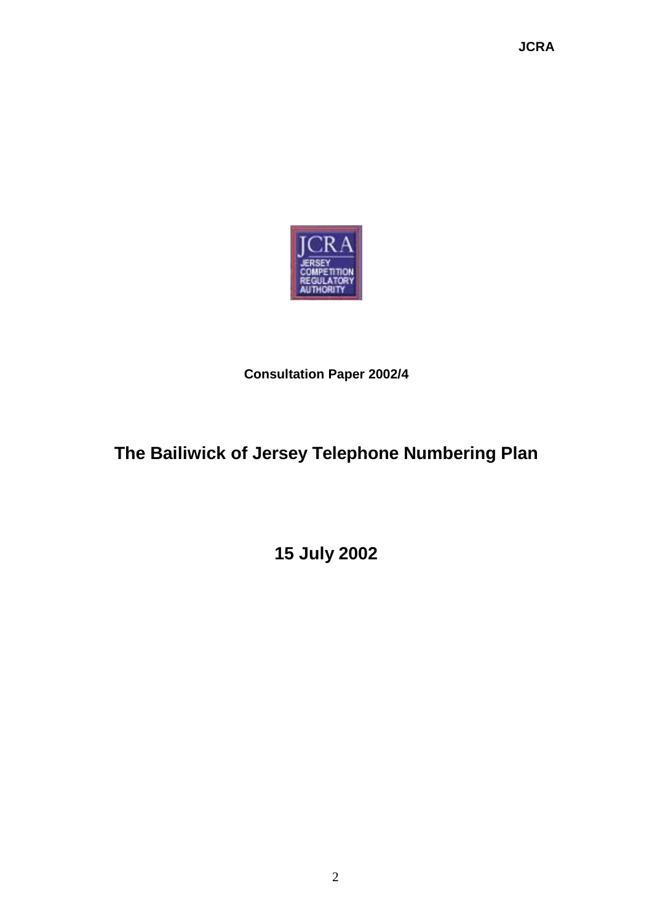**JCRA**



**Consultation Paper 2002/4**

# **The Bailiwick of Jersey Telephone Numbering Plan**

**15 July 2002**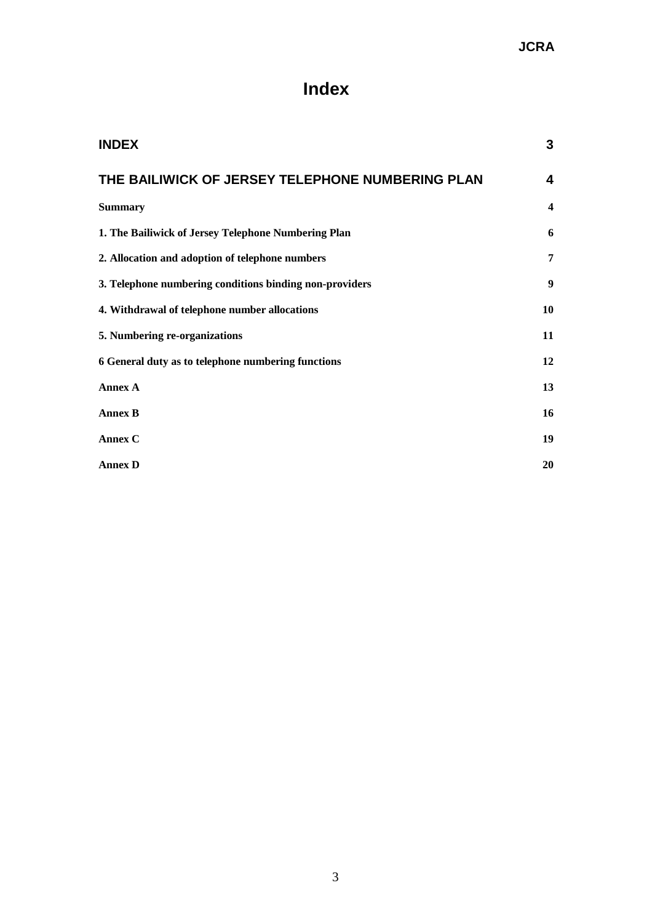# **Index**

| <b>INDEX</b>                                            | 3                       |
|---------------------------------------------------------|-------------------------|
| THE BAILIWICK OF JERSEY TELEPHONE NUMBERING PLAN        | $\overline{\mathbf{4}}$ |
| <b>Summary</b>                                          | $\boldsymbol{4}$        |
| 1. The Bailiwick of Jersey Telephone Numbering Plan     | 6                       |
| 2. Allocation and adoption of telephone numbers         | 7                       |
| 3. Telephone numbering conditions binding non-providers | $\boldsymbol{9}$        |
| 4. Withdrawal of telephone number allocations           | 10                      |
| 5. Numbering re-organizations                           | 11                      |
| 6 General duty as to telephone numbering functions      | 12                      |
| <b>Annex A</b>                                          | 13                      |
| <b>Annex B</b>                                          | 16                      |
| Annex C                                                 | 19                      |
| <b>Annex D</b>                                          | 20                      |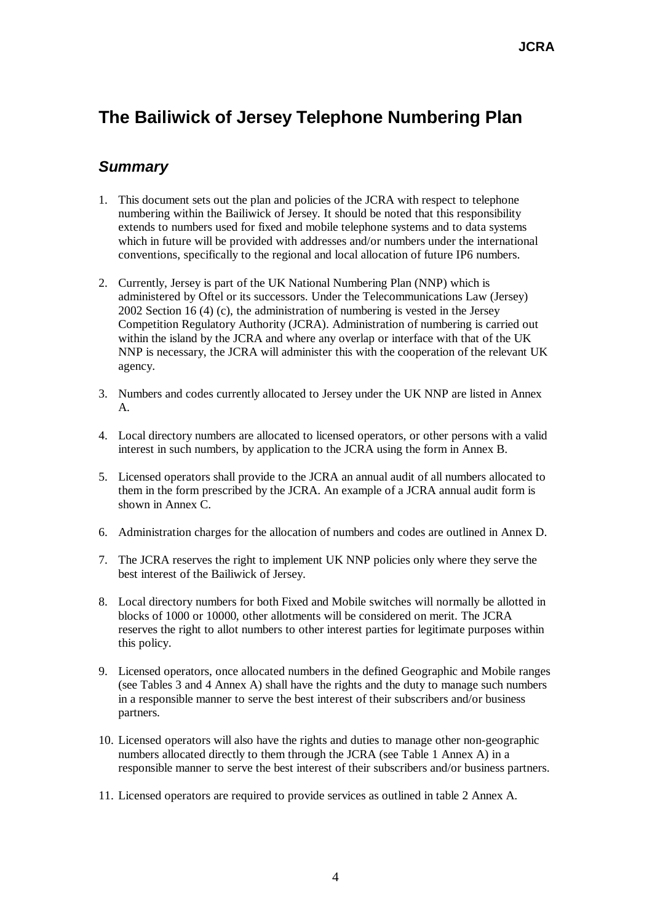# **The Bailiwick of Jersey Telephone Numbering Plan**

# *Summary*

- 1. This document sets out the plan and policies of the JCRA with respect to telephone numbering within the Bailiwick of Jersey. It should be noted that this responsibility extends to numbers used for fixed and mobile telephone systems and to data systems which in future will be provided with addresses and/or numbers under the international conventions, specifically to the regional and local allocation of future IP6 numbers.
- 2. Currently, Jersey is part of the UK National Numbering Plan (NNP) which is administered by Oftel or its successors. Under the Telecommunications Law (Jersey) 2002 Section 16 (4) (c), the administration of numbering is vested in the Jersey Competition Regulatory Authority (JCRA). Administration of numbering is carried out within the island by the JCRA and where any overlap or interface with that of the UK NNP is necessary, the JCRA will administer this with the cooperation of the relevant UK agency.
- 3. Numbers and codes currently allocated to Jersey under the UK NNP are listed in Annex A.
- 4. Local directory numbers are allocated to licensed operators, or other persons with a valid interest in such numbers, by application to the JCRA using the form in Annex B.
- 5. Licensed operators shall provide to the JCRA an annual audit of all numbers allocated to them in the form prescribed by the JCRA. An example of a JCRA annual audit form is shown in Annex C.
- 6. Administration charges for the allocation of numbers and codes are outlined in Annex D.
- 7. The JCRA reserves the right to implement UK NNP policies only where they serve the best interest of the Bailiwick of Jersey.
- 8. Local directory numbers for both Fixed and Mobile switches will normally be allotted in blocks of 1000 or 10000, other allotments will be considered on merit. The JCRA reserves the right to allot numbers to other interest parties for legitimate purposes within this policy.
- 9. Licensed operators, once allocated numbers in the defined Geographic and Mobile ranges (see Tables 3 and 4 Annex A) shall have the rights and the duty to manage such numbers in a responsible manner to serve the best interest of their subscribers and/or business partners.
- 10. Licensed operators will also have the rights and duties to manage other non-geographic numbers allocated directly to them through the JCRA (see Table 1 Annex A) in a responsible manner to serve the best interest of their subscribers and/or business partners.
- 11. Licensed operators are required to provide services as outlined in table 2 Annex A.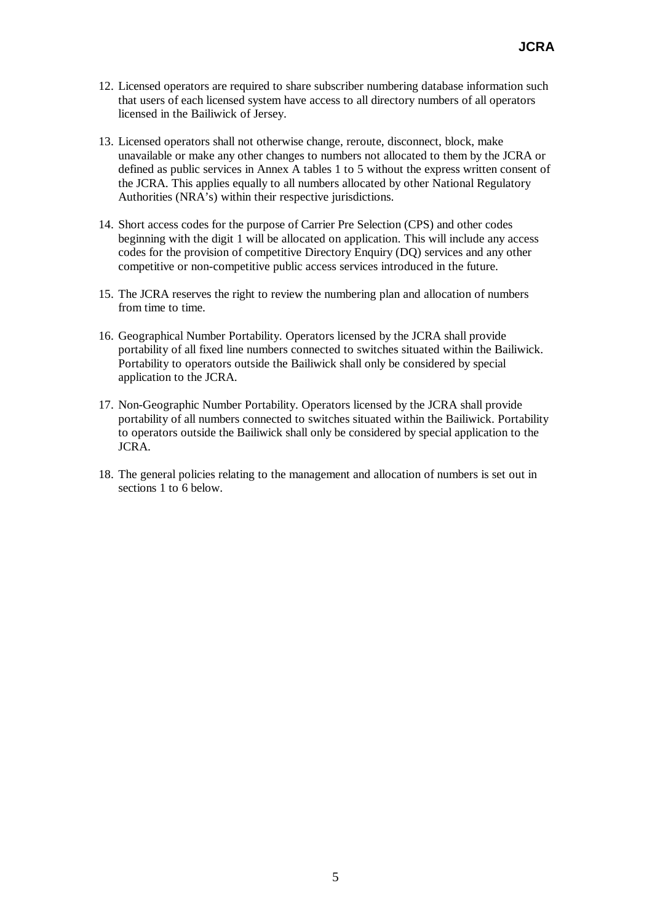- 12. Licensed operators are required to share subscriber numbering database information such that users of each licensed system have access to all directory numbers of all operators licensed in the Bailiwick of Jersey.
- 13. Licensed operators shall not otherwise change, reroute, disconnect, block, make unavailable or make any other changes to numbers not allocated to them by the JCRA or defined as public services in Annex A tables 1 to 5 without the express written consent of the JCRA. This applies equally to all numbers allocated by other National Regulatory Authorities (NRA's) within their respective jurisdictions.
- 14. Short access codes for the purpose of Carrier Pre Selection (CPS) and other codes beginning with the digit 1 will be allocated on application. This will include any access codes for the provision of competitive Directory Enquiry (DQ) services and any other competitive or non-competitive public access services introduced in the future.
- 15. The JCRA reserves the right to review the numbering plan and allocation of numbers from time to time.
- 16. Geographical Number Portability. Operators licensed by the JCRA shall provide portability of all fixed line numbers connected to switches situated within the Bailiwick. Portability to operators outside the Bailiwick shall only be considered by special application to the JCRA.
- 17. Non-Geographic Number Portability. Operators licensed by the JCRA shall provide portability of all numbers connected to switches situated within the Bailiwick. Portability to operators outside the Bailiwick shall only be considered by special application to the JCRA.
- 18. The general policies relating to the management and allocation of numbers is set out in sections 1 to 6 below.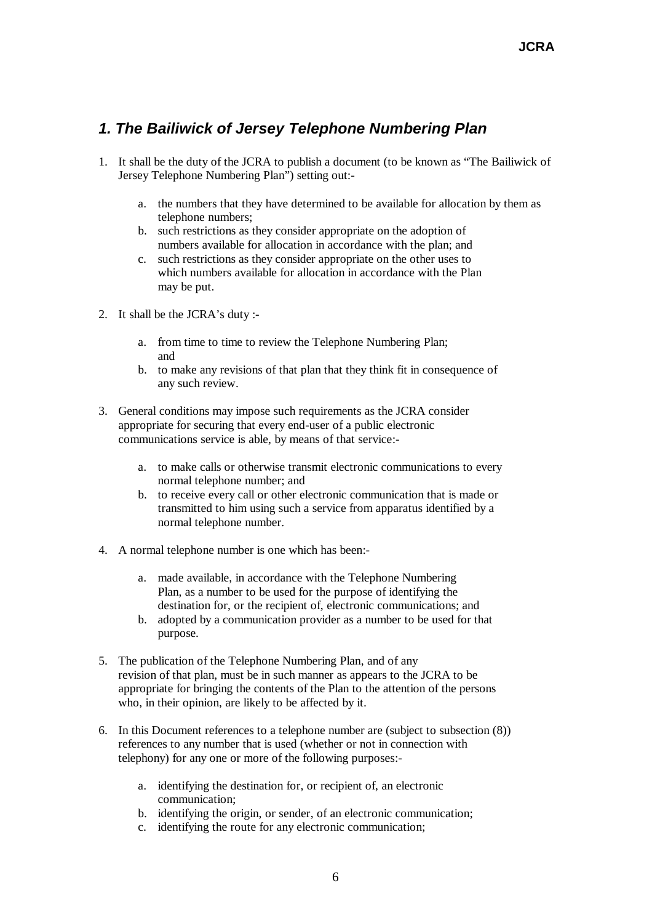# *1. The Bailiwick of Jersey Telephone Numbering Plan*

- 1. It shall be the duty of the JCRA to publish a document (to be known as "The Bailiwick of Jersey Telephone Numbering Plan") setting out:
	- a. the numbers that they have determined to be available for allocation by them as telephone numbers;
	- b. such restrictions as they consider appropriate on the adoption of numbers available for allocation in accordance with the plan; and
	- c. such restrictions as they consider appropriate on the other uses to which numbers available for allocation in accordance with the Plan may be put.
- 2. It shall be the JCRA's duty :
	- a. from time to time to review the Telephone Numbering Plan; and
	- b. to make any revisions of that plan that they think fit in consequence of any such review.
- 3. General conditions may impose such requirements as the JCRA consider appropriate for securing that every end-user of a public electronic communications service is able, by means of that service:
	- a. to make calls or otherwise transmit electronic communications to every normal telephone number; and
	- b. to receive every call or other electronic communication that is made or transmitted to him using such a service from apparatus identified by a normal telephone number.
- 4. A normal telephone number is one which has been:
	- a. made available, in accordance with the Telephone Numbering Plan, as a number to be used for the purpose of identifying the destination for, or the recipient of, electronic communications; and
	- b. adopted by a communication provider as a number to be used for that purpose.
- 5. The publication of the Telephone Numbering Plan, and of any revision of that plan, must be in such manner as appears to the JCRA to be appropriate for bringing the contents of the Plan to the attention of the persons who, in their opinion, are likely to be affected by it.
- 6. In this Document references to a telephone number are (subject to subsection (8)) references to any number that is used (whether or not in connection with telephony) for any one or more of the following purposes:
	- a. identifying the destination for, or recipient of, an electronic communication;
	- b. identifying the origin, or sender, of an electronic communication;
	- c. identifying the route for any electronic communication;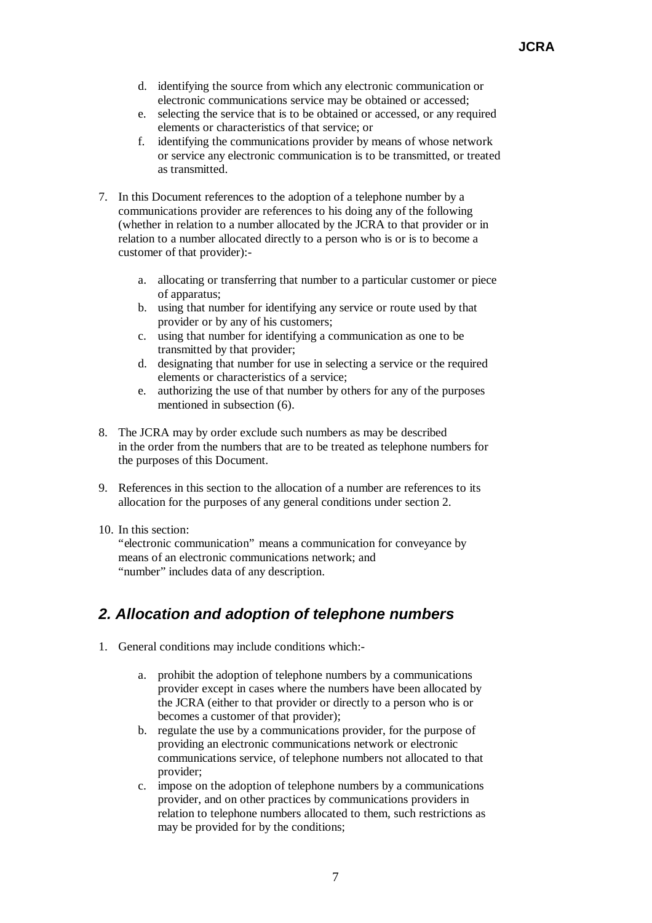- d. identifying the source from which any electronic communication or electronic communications service may be obtained or accessed;
- e. selecting the service that is to be obtained or accessed, or any required elements or characteristics of that service; or
- f. identifying the communications provider by means of whose network or service any electronic communication is to be transmitted, or treated as transmitted.
- 7. In this Document references to the adoption of a telephone number by a communications provider are references to his doing any of the following (whether in relation to a number allocated by the JCRA to that provider or in relation to a number allocated directly to a person who is or is to become a customer of that provider):
	- a. allocating or transferring that number to a particular customer or piece of apparatus;
	- b. using that number for identifying any service or route used by that provider or by any of his customers;
	- c. using that number for identifying a communication as one to be transmitted by that provider;
	- d. designating that number for use in selecting a service or the required elements or characteristics of a service;
	- e. authorizing the use of that number by others for any of the purposes mentioned in subsection (6).
- 8. The JCRA may by order exclude such numbers as may be described in the order from the numbers that are to be treated as telephone numbers for the purposes of this Document.
- 9. References in this section to the allocation of a number are references to its allocation for the purposes of any general conditions under section 2.
- 10. In this section:

"electronic communication" means a communication for conveyance by means of an electronic communications network; and "number" includes data of any description.

# *2. Allocation and adoption of telephone numbers*

- 1. General conditions may include conditions which:
	- a. prohibit the adoption of telephone numbers by a communications provider except in cases where the numbers have been allocated by the JCRA (either to that provider or directly to a person who is or becomes a customer of that provider);
	- b. regulate the use by a communications provider, for the purpose of providing an electronic communications network or electronic communications service, of telephone numbers not allocated to that provider;
	- c. impose on the adoption of telephone numbers by a communications provider, and on other practices by communications providers in relation to telephone numbers allocated to them, such restrictions as may be provided for by the conditions;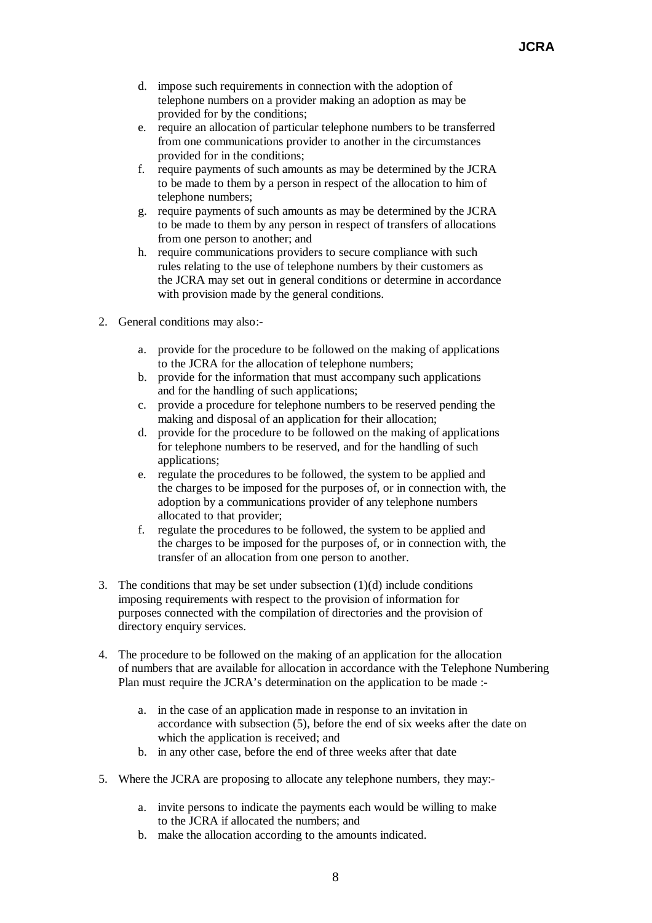- d. impose such requirements in connection with the adoption of telephone numbers on a provider making an adoption as may be provided for by the conditions;
- e. require an allocation of particular telephone numbers to be transferred from one communications provider to another in the circumstances provided for in the conditions;
- f. require payments of such amounts as may be determined by the JCRA to be made to them by a person in respect of the allocation to him of telephone numbers;
- g. require payments of such amounts as may be determined by the JCRA to be made to them by any person in respect of transfers of allocations from one person to another; and
- h. require communications providers to secure compliance with such rules relating to the use of telephone numbers by their customers as the JCRA may set out in general conditions or determine in accordance with provision made by the general conditions.
- 2. General conditions may also:
	- a. provide for the procedure to be followed on the making of applications to the JCRA for the allocation of telephone numbers;
	- b. provide for the information that must accompany such applications and for the handling of such applications;
	- c. provide a procedure for telephone numbers to be reserved pending the making and disposal of an application for their allocation;
	- d. provide for the procedure to be followed on the making of applications for telephone numbers to be reserved, and for the handling of such applications;
	- e. regulate the procedures to be followed, the system to be applied and the charges to be imposed for the purposes of, or in connection with, the adoption by a communications provider of any telephone numbers allocated to that provider;
	- f. regulate the procedures to be followed, the system to be applied and the charges to be imposed for the purposes of, or in connection with, the transfer of an allocation from one person to another.
- 3. The conditions that may be set under subsection  $(1)(d)$  include conditions imposing requirements with respect to the provision of information for purposes connected with the compilation of directories and the provision of directory enquiry services.
- 4. The procedure to be followed on the making of an application for the allocation of numbers that are available for allocation in accordance with the Telephone Numbering Plan must require the JCRA's determination on the application to be made :
	- a. in the case of an application made in response to an invitation in accordance with subsection (5), before the end of six weeks after the date on which the application is received; and
	- b. in any other case, before the end of three weeks after that date
- 5. Where the JCRA are proposing to allocate any telephone numbers, they may:
	- a. invite persons to indicate the payments each would be willing to make to the JCRA if allocated the numbers; and
	- b. make the allocation according to the amounts indicated.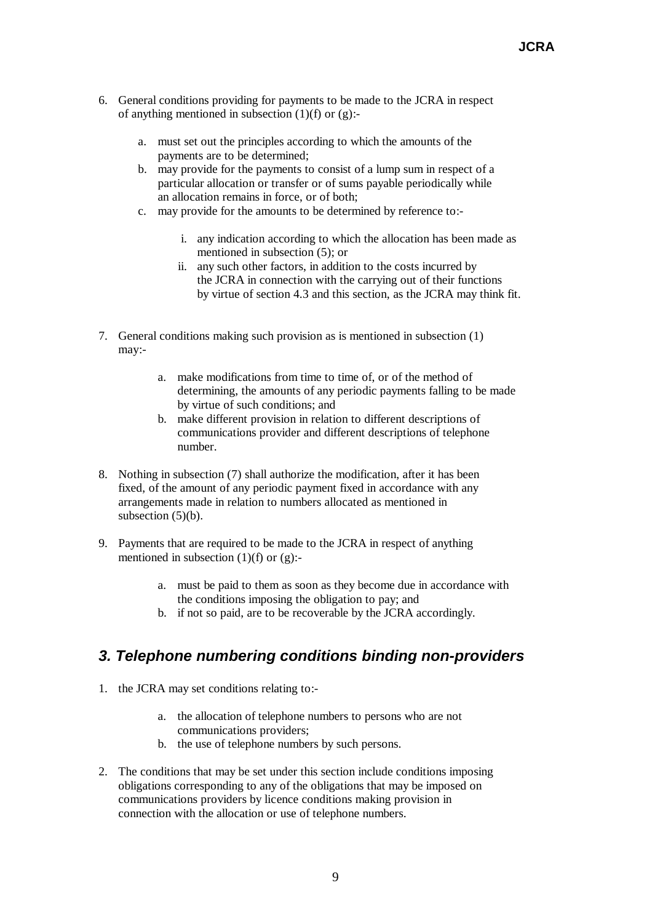- 6. General conditions providing for payments to be made to the JCRA in respect of anything mentioned in subsection  $(1)(f)$  or  $(g)$ :
	- a. must set out the principles according to which the amounts of the payments are to be determined;
	- b. may provide for the payments to consist of a lump sum in respect of a particular allocation or transfer or of sums payable periodically while an allocation remains in force, or of both;
	- c. may provide for the amounts to be determined by reference to:
		- i. any indication according to which the allocation has been made as mentioned in subsection (5); or
		- ii. any such other factors, in addition to the costs incurred by the JCRA in connection with the carrying out of their functions by virtue of section 4.3 and this section, as the JCRA may think fit.
- 7. General conditions making such provision as is mentioned in subsection (1) may:
	- a. make modifications from time to time of, or of the method of determining, the amounts of any periodic payments falling to be made by virtue of such conditions; and
	- b. make different provision in relation to different descriptions of communications provider and different descriptions of telephone number.
- 8. Nothing in subsection (7) shall authorize the modification, after it has been fixed, of the amount of any periodic payment fixed in accordance with any arrangements made in relation to numbers allocated as mentioned in subsection  $(5)(b)$ .
- 9. Payments that are required to be made to the JCRA in respect of anything mentioned in subsection  $(1)(f)$  or  $(g)$ :
	- a. must be paid to them as soon as they become due in accordance with the conditions imposing the obligation to pay; and
	- b. if not so paid, are to be recoverable by the JCRA accordingly.

# *3. Telephone numbering conditions binding non-providers*

- 1. the JCRA may set conditions relating to:
	- a. the allocation of telephone numbers to persons who are not communications providers;
	- b. the use of telephone numbers by such persons.
- 2. The conditions that may be set under this section include conditions imposing obligations corresponding to any of the obligations that may be imposed on communications providers by licence conditions making provision in connection with the allocation or use of telephone numbers.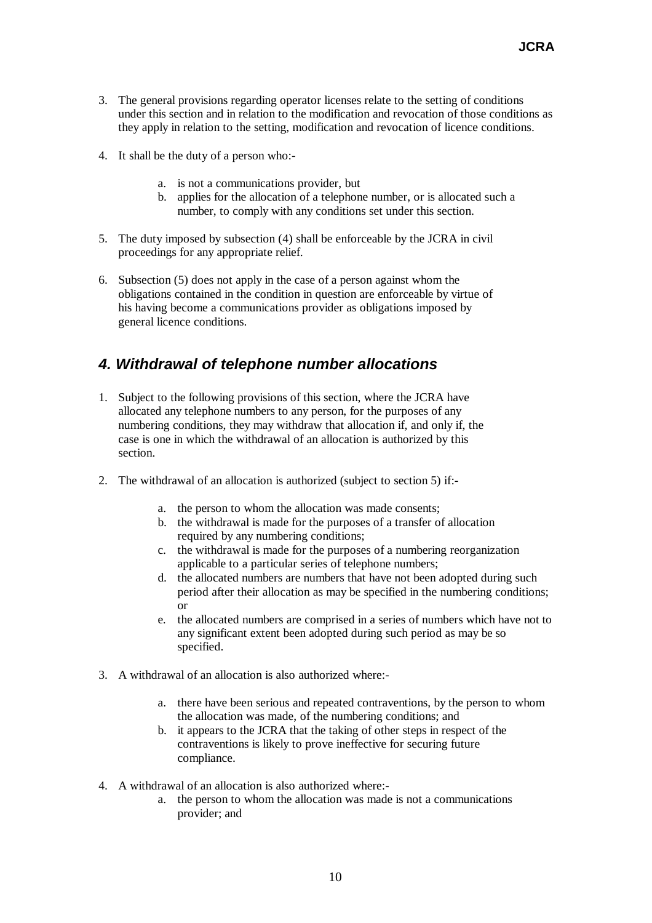- 3. The general provisions regarding operator licenses relate to the setting of conditions under this section and in relation to the modification and revocation of those conditions as they apply in relation to the setting, modification and revocation of licence conditions.
- 4. It shall be the duty of a person who:
	- a. is not a communications provider, but
	- b. applies for the allocation of a telephone number, or is allocated such a number, to comply with any conditions set under this section.
- 5. The duty imposed by subsection (4) shall be enforceable by the JCRA in civil proceedings for any appropriate relief.
- 6. Subsection (5) does not apply in the case of a person against whom the obligations contained in the condition in question are enforceable by virtue of his having become a communications provider as obligations imposed by general licence conditions.

# *4. Withdrawal of telephone number allocations*

- 1. Subject to the following provisions of this section, where the JCRA have allocated any telephone numbers to any person, for the purposes of any numbering conditions, they may withdraw that allocation if, and only if, the case is one in which the withdrawal of an allocation is authorized by this section.
- 2. The withdrawal of an allocation is authorized (subject to section 5) if:
	- a. the person to whom the allocation was made consents;
	- b. the withdrawal is made for the purposes of a transfer of allocation required by any numbering conditions:
	- c. the withdrawal is made for the purposes of a numbering reorganization applicable to a particular series of telephone numbers;
	- d. the allocated numbers are numbers that have not been adopted during such period after their allocation as may be specified in the numbering conditions; or
	- e. the allocated numbers are comprised in a series of numbers which have not to any significant extent been adopted during such period as may be so specified.
- 3. A withdrawal of an allocation is also authorized where:
	- a. there have been serious and repeated contraventions, by the person to whom the allocation was made, of the numbering conditions; and
	- b. it appears to the JCRA that the taking of other steps in respect of the contraventions is likely to prove ineffective for securing future compliance.
- 4. A withdrawal of an allocation is also authorized where:
	- a. the person to whom the allocation was made is not a communications provider; and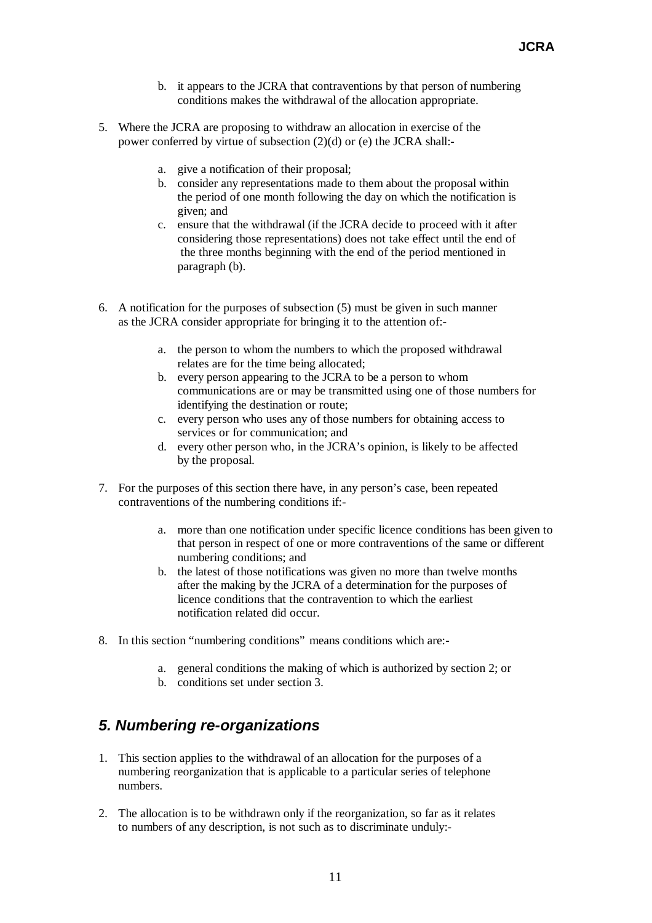- b. it appears to the JCRA that contraventions by that person of numbering conditions makes the withdrawal of the allocation appropriate.
- 5. Where the JCRA are proposing to withdraw an allocation in exercise of the power conferred by virtue of subsection (2)(d) or (e) the JCRA shall:
	- a. give a notification of their proposal;
	- b. consider any representations made to them about the proposal within the period of one month following the day on which the notification is given; and
	- c. ensure that the withdrawal (if the JCRA decide to proceed with it after considering those representations) does not take effect until the end of the three months beginning with the end of the period mentioned in paragraph (b).
- 6. A notification for the purposes of subsection (5) must be given in such manner as the JCRA consider appropriate for bringing it to the attention of:
	- a. the person to whom the numbers to which the proposed withdrawal relates are for the time being allocated;
	- b. every person appearing to the JCRA to be a person to whom communications are or may be transmitted using one of those numbers for identifying the destination or route;
	- c. every person who uses any of those numbers for obtaining access to services or for communication; and
	- d. every other person who, in the JCRA's opinion, is likely to be affected by the proposal.
- 7. For the purposes of this section there have, in any person's case, been repeated contraventions of the numbering conditions if:
	- a. more than one notification under specific licence conditions has been given to that person in respect of one or more contraventions of the same or different numbering conditions; and
	- b. the latest of those notifications was given no more than twelve months after the making by the JCRA of a determination for the purposes of licence conditions that the contravention to which the earliest notification related did occur.
- 8. In this section "numbering conditions" means conditions which are:
	- a. general conditions the making of which is authorized by section 2; or
	- b. conditions set under section 3.

# *5. Numbering re-organizations*

- 1. This section applies to the withdrawal of an allocation for the purposes of a numbering reorganization that is applicable to a particular series of telephone numbers.
- 2. The allocation is to be withdrawn only if the reorganization, so far as it relates to numbers of any description, is not such as to discriminate unduly:-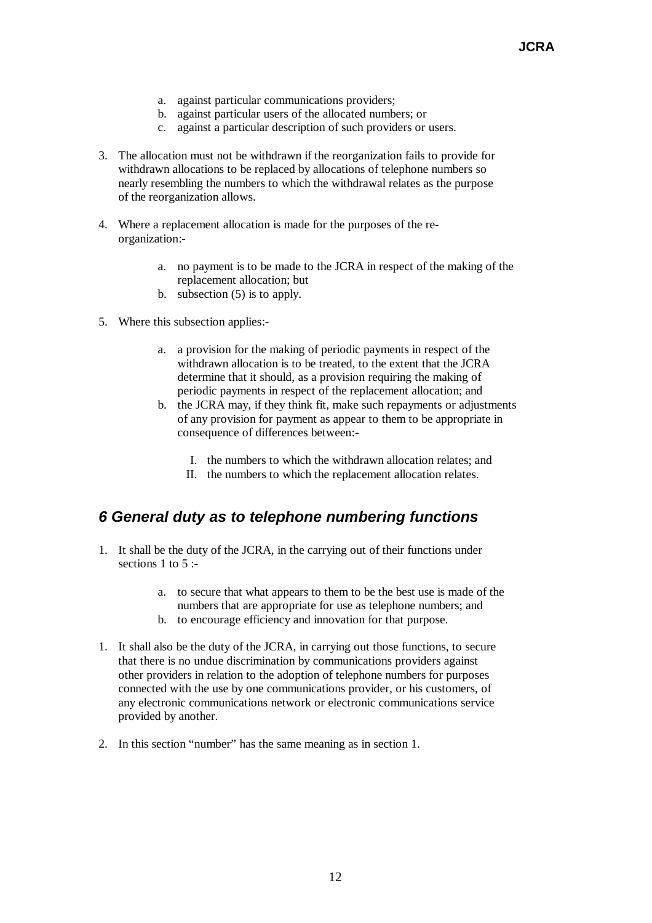- a. against particular communications providers;
- b. against particular users of the allocated numbers; or
- c. against a particular description of such providers or users.
- 3. The allocation must not be withdrawn if the reorganization fails to provide for withdrawn allocations to be replaced by allocations of telephone numbers so nearly resembling the numbers to which the withdrawal relates as the purpose of the reorganization allows.
- 4. Where a replacement allocation is made for the purposes of the reorganization:
	- a. no payment is to be made to the JCRA in respect of the making of the replacement allocation; but
	- b. subsection (5) is to apply.
- 5. Where this subsection applies:
	- a. a provision for the making of periodic payments in respect of the withdrawn allocation is to be treated, to the extent that the JCRA determine that it should, as a provision requiring the making of periodic payments in respect of the replacement allocation; and
	- b. the JCRA may, if they think fit, make such repayments or adjustments of any provision for payment as appear to them to be appropriate in consequence of differences between:-
		- I. the numbers to which the withdrawn allocation relates; and
		- II. the numbers to which the replacement allocation relates.

# *6 General duty as to telephone numbering functions*

- 1. It shall be the duty of the JCRA, in the carrying out of their functions under sections 1 to 5  $\cdot$ 
	- a. to secure that what appears to them to be the best use is made of the numbers that are appropriate for use as telephone numbers; and
	- b. to encourage efficiency and innovation for that purpose.
- 1. It shall also be the duty of the JCRA, in carrying out those functions, to secure that there is no undue discrimination by communications providers against other providers in relation to the adoption of telephone numbers for purposes connected with the use by one communications provider, or his customers, of any electronic communications network or electronic communications service provided by another.
- 2. In this section "number" has the same meaning as in section 1.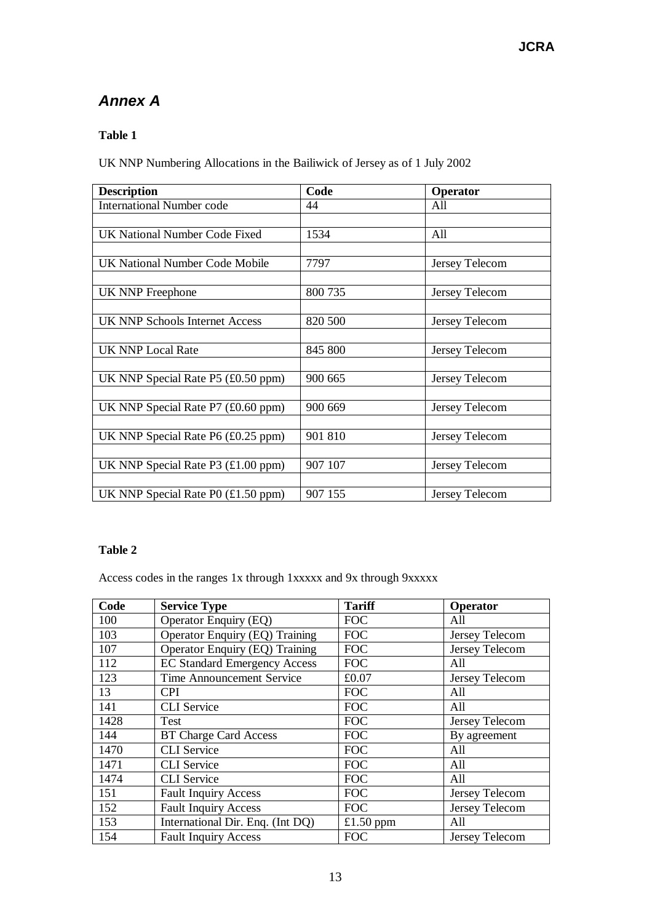# *Annex A*

### **Table 1**

UK NNP Numbering Allocations in the Bailiwick of Jersey as of 1 July 2002

| <b>Description</b>                                              | Code    | Operator       |
|-----------------------------------------------------------------|---------|----------------|
| <b>International Number code</b>                                | 44      | All            |
|                                                                 |         |                |
| <b>UK National Number Code Fixed</b>                            | 1534    | All            |
|                                                                 |         |                |
| UK National Number Code Mobile                                  | 7797    | Jersey Telecom |
|                                                                 |         |                |
| <b>UK NNP Freephone</b>                                         | 800 735 | Jersey Telecom |
|                                                                 |         |                |
| UK NNP Schools Internet Access                                  | 820 500 | Jersey Telecom |
|                                                                 |         |                |
| <b>UK NNP Local Rate</b>                                        | 845 800 | Jersey Telecom |
|                                                                 |         |                |
| UK NNP Special Rate $P5$ (£0.50 ppm)                            | 900 665 | Jersey Telecom |
|                                                                 |         |                |
| UK NNP Special Rate P7 (£0.60 ppm)                              | 900 669 | Jersey Telecom |
|                                                                 |         |                |
| UK NNP Special Rate P6 (£0.25 ppm)                              | 901 810 | Jersey Telecom |
|                                                                 |         |                |
| UK NNP Special Rate P3 $(\text{\pounds}1.00 \text{ ppm})$       | 907 107 | Jersey Telecom |
|                                                                 |         |                |
| UK NNP Special Rate P0 $(\text{\textsterling}1.50 \text{ ppm})$ | 907 155 | Jersey Telecom |

#### **Table 2**

Access codes in the ranges 1x through 1xxxxx and 9x through 9xxxxx

| Code | <b>Service Type</b>                   | <b>Tariff</b> | Operator       |
|------|---------------------------------------|---------------|----------------|
| 100  | Operator Enquiry (EQ)                 | <b>FOC</b>    | All            |
| 103  | Operator Enquiry (EQ) Training        | <b>FOC</b>    | Jersey Telecom |
| 107  | <b>Operator Enquiry (EQ) Training</b> | <b>FOC</b>    | Jersey Telecom |
| 112  | <b>EC Standard Emergency Access</b>   | <b>FOC</b>    | All            |
| 123  | <b>Time Announcement Service</b>      | £0.07         | Jersey Telecom |
| 13   | <b>CPI</b>                            | <b>FOC</b>    | All            |
| 141  | <b>CLI</b> Service                    | <b>FOC</b>    | All            |
| 1428 | Test                                  | <b>FOC</b>    | Jersey Telecom |
| 144  | <b>BT Charge Card Access</b>          | <b>FOC</b>    | By agreement   |
| 1470 | <b>CLI</b> Service                    | <b>FOC</b>    | All            |
| 1471 | <b>CLI</b> Service                    | <b>FOC</b>    | All            |
| 1474 | <b>CLI</b> Service                    | <b>FOC</b>    | All            |
| 151  | <b>Fault Inquiry Access</b>           | <b>FOC</b>    | Jersey Telecom |
| 152  | <b>Fault Inquiry Access</b>           | <b>FOC</b>    | Jersey Telecom |
| 153  | International Dir. Enq. (Int DQ)      | £1.50 ppm     | All            |
| 154  | <b>Fault Inquiry Access</b>           | <b>FOC</b>    | Jersey Telecom |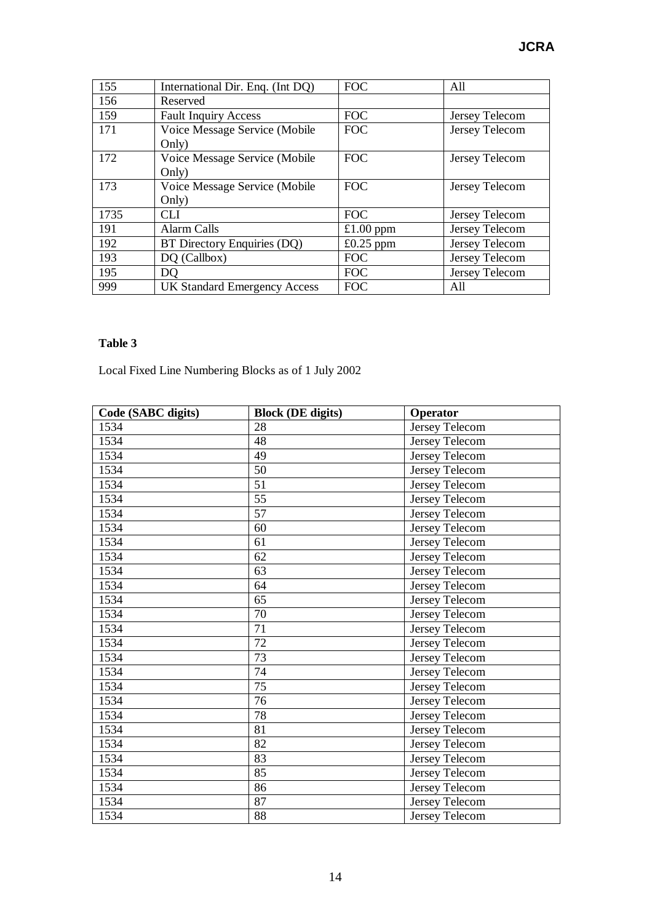| 155  | International Dir. Enq. (Int DQ)    | <b>FOC</b>  | All            |
|------|-------------------------------------|-------------|----------------|
| 156  | Reserved                            |             |                |
| 159  | <b>Fault Inquiry Access</b>         | <b>FOC</b>  | Jersey Telecom |
| 171  | Voice Message Service (Mobile       | <b>FOC</b>  | Jersey Telecom |
|      | Only)                               |             |                |
| 172  | Voice Message Service (Mobile       | <b>FOC</b>  | Jersey Telecom |
|      | Only)                               |             |                |
| 173  | Voice Message Service (Mobile       | <b>FOC</b>  | Jersey Telecom |
|      | Only)                               |             |                |
| 1735 | <b>CLI</b>                          | <b>FOC</b>  | Jersey Telecom |
| 191  | <b>Alarm Calls</b>                  | £1.00 ppm   | Jersey Telecom |
| 192  | BT Directory Enquiries (DQ)         | $£0.25$ ppm | Jersey Telecom |
| 193  | DQ (Callbox)                        | <b>FOC</b>  | Jersey Telecom |
| 195  | DQ.                                 | <b>FOC</b>  | Jersey Telecom |
| 999  | <b>UK Standard Emergency Access</b> | <b>FOC</b>  | All            |

### **Table 3**

Local Fixed Line Numbering Blocks as of 1 July 2002

| Code (SABC digits) | <b>Block (DE digits)</b> | Operator       |
|--------------------|--------------------------|----------------|
| 1534               | 28                       | Jersey Telecom |
| 1534               | 48                       | Jersey Telecom |
| 1534               | 49                       | Jersey Telecom |
| 1534               | 50                       | Jersey Telecom |
| 1534               | 51                       | Jersey Telecom |
| 1534               | 55                       | Jersey Telecom |
| 1534               | 57                       | Jersey Telecom |
| 1534               | 60                       | Jersey Telecom |
| 1534               | 61                       | Jersey Telecom |
| 1534               | 62                       | Jersey Telecom |
| 1534               | 63                       | Jersey Telecom |
| 1534               | 64                       | Jersey Telecom |
| 1534               | 65                       | Jersey Telecom |
| 1534               | 70                       | Jersey Telecom |
| 1534               | 71                       | Jersey Telecom |
| 1534               | 72                       | Jersey Telecom |
| 1534               | 73                       | Jersey Telecom |
| 1534               | 74                       | Jersey Telecom |
| 1534               | 75                       | Jersey Telecom |
| 1534               | 76                       | Jersey Telecom |
| 1534               | 78                       | Jersey Telecom |
| 1534               | 81                       | Jersey Telecom |
| 1534               | 82                       | Jersey Telecom |
| 1534               | 83                       | Jersey Telecom |
| 1534               | 85                       | Jersey Telecom |
| 1534               | 86                       | Jersey Telecom |
| 1534               | 87                       | Jersey Telecom |
| 1534               | 88                       | Jersey Telecom |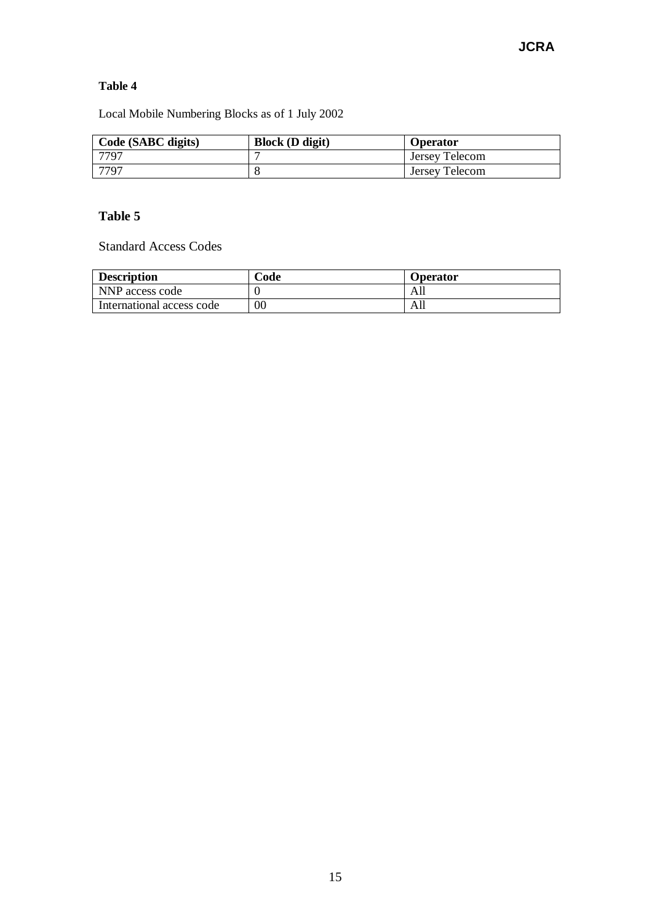### **Table 4**

Local Mobile Numbering Blocks as of 1 July 2002

| Code (SABC digits) | <b>Block</b> ( <b>D</b> digit) | <b>Operator</b> |
|--------------------|--------------------------------|-----------------|
| 7797               |                                | Jersey Telecom  |
| 7797               |                                | Jersey Telecom  |

## **Table 5**

Standard Access Codes

| <b>Description</b>        | Code   | <b>Operator</b> |
|---------------------------|--------|-----------------|
| NNP access code           |        | Alı             |
| International access code | $00\,$ | AШ              |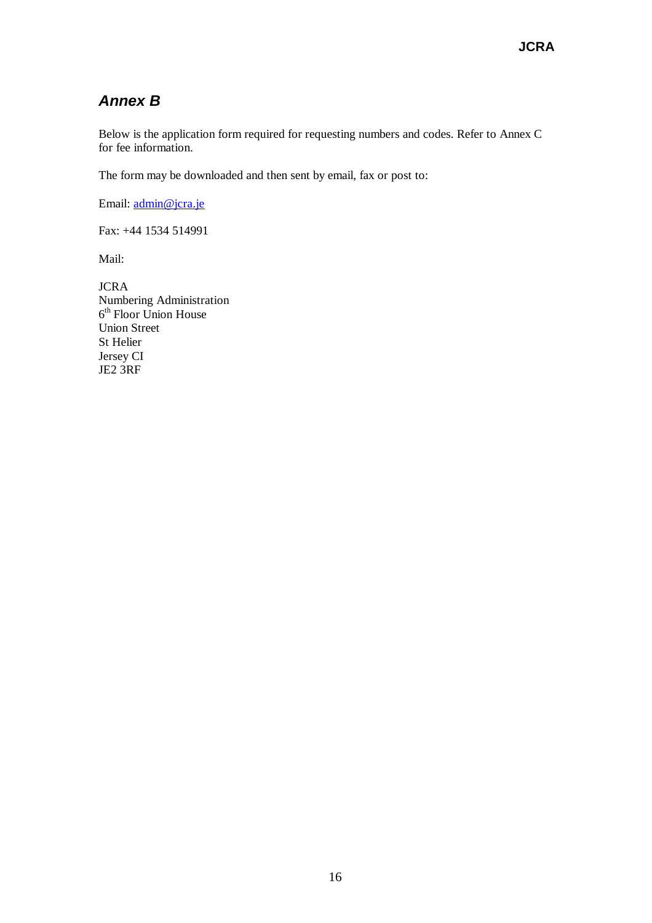# *Annex B*

Below is the application form required for requesting numbers and codes. Refer to Annex C for fee information.

The form may be downloaded and then sent by email, fax or post to:

Email: admin@jcra.je

Fax: +44 1534 514991

Mail:

JCRA Numbering Administration 6 th Floor Union House Union Street St Helier Jersey CI JE2 3RF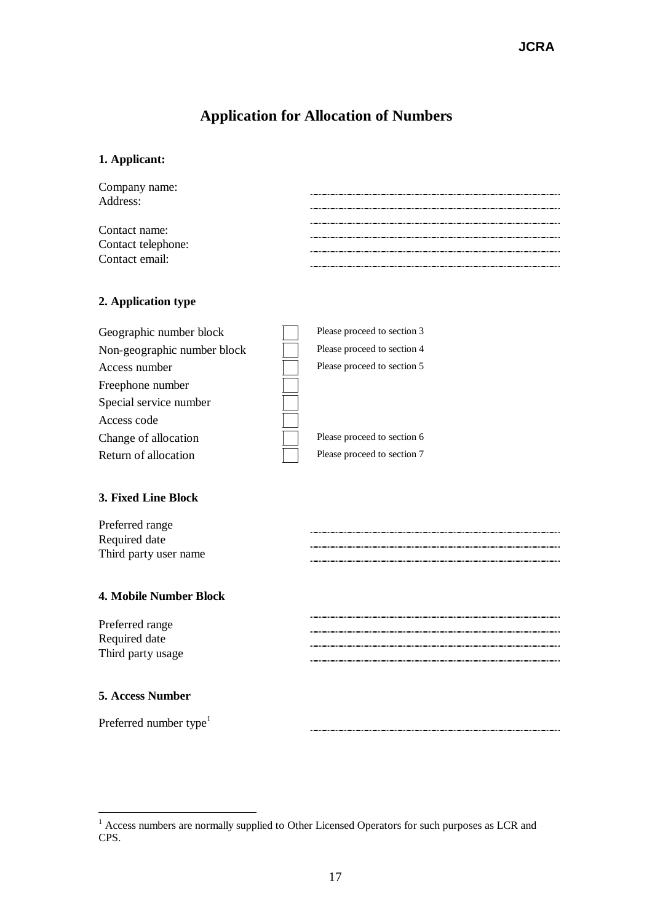# **Application for Allocation of Numbers**

## **1. Applicant:**

| Company name:                        |  |
|--------------------------------------|--|
| Address:                             |  |
|                                      |  |
| Contact name:                        |  |
| Contact telephone:<br>Contact email: |  |
|                                      |  |

## **2. Application type**

| Geographic number block     | Please proceed to section 3 |
|-----------------------------|-----------------------------|
| Non-geographic number block | Please proceed to section 4 |
| Access number               | Please proceed to section 5 |
| Freephone number            |                             |
| Special service number      |                             |
| Access code                 |                             |
| Change of allocation        | Please proceed to section 6 |
| Return of allocation        | Please proceed to section 7 |

## **3. Fixed Line Block**

| Preferred range       |  |
|-----------------------|--|
| Required date         |  |
| Third party user name |  |
|                       |  |

## **4. Mobile Number Block**

| Preferred range   |
|-------------------|
| Required date     |
| Third party usage |

#### **5. Access Number**

Preferred number type $^{1}$ 

<sup>&</sup>lt;sup>1</sup> Access numbers are normally supplied to Other Licensed Operators for such purposes as LCR and CPS.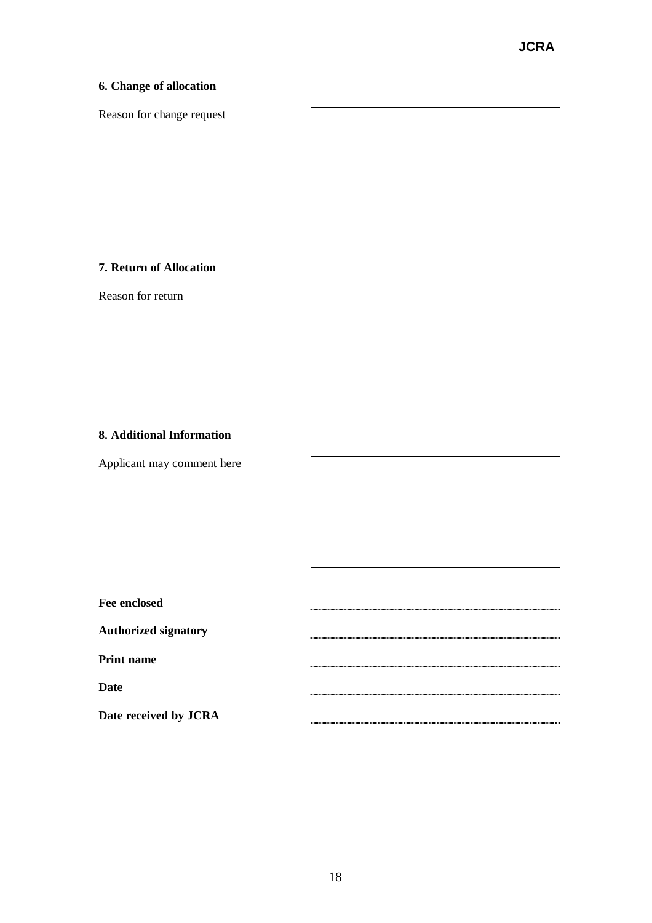## **6. Change of allocation**

Reason for change request



## **7. Return of Allocation**

Reason for return



#### **8. Additional Information**

Applicant may comment here

| <b>Fee enclosed</b>         |  |
|-----------------------------|--|
| <b>Authorized signatory</b> |  |
| <b>Print name</b>           |  |
| Date                        |  |
| Date received by JCRA       |  |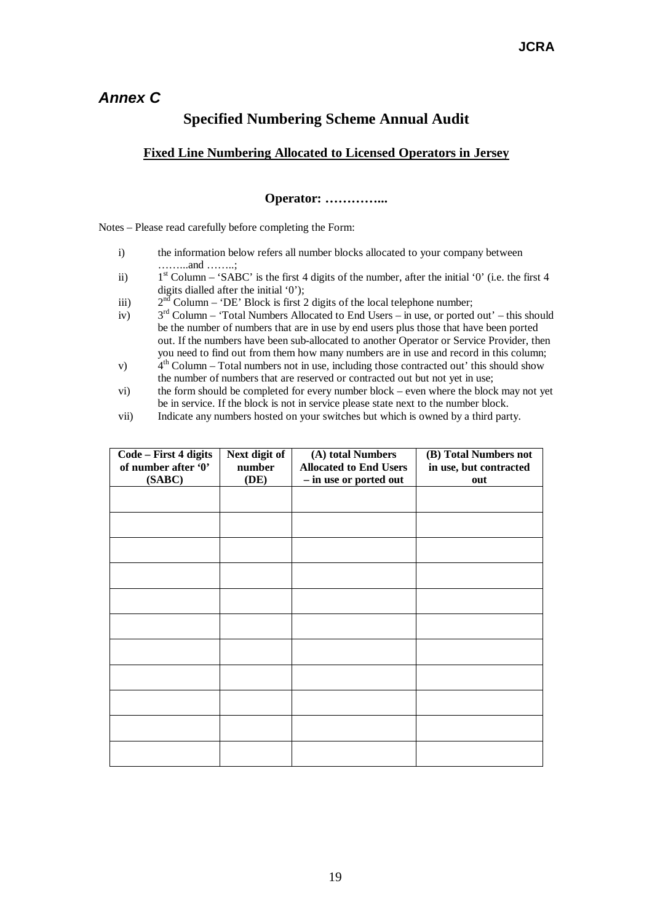# *Annex C*

# **Specified Numbering Scheme Annual Audit**

### **Fixed Line Numbering Allocated to Licensed Operators in Jersey**

#### **Operator: ………… ...**

Notes – Please read carefully before completing the Form:

- i) the information below refers all number blocks allocated to your company between … … ...and … … ..;
- ii)  $1<sup>st</sup>$  Column – 'SABC' is the first 4 digits of the number, after the initial '0' (i.e. the first 4 digits dialled after the initial '0');
- iii)  $2<sup>n\overline{d}</sup>$  Column – 'DE' Block is first 2 digits of the local telephone number;
- $iv)$  $3<sup>rd</sup>$  Column – 'Total Numbers Allocated to End Users – in use, or ported out' – this should be the number of numbers that are in use by end users plus those that have been ported out. If the numbers have been sub-allocated to another Operator or Service Provider, then you need to find out from them how many numbers are in use and record in this column;
- $v)$  $4<sup>th</sup>$  Column – Total numbers not in use, including those contracted out' this should show the number of numbers that are reserved or contracted out but not yet in use;
- vi) the form should be completed for every number block even where the block may not yet be in service. If the block is not in service please state next to the number block.
- vii) Indicate any numbers hosted on your switches but which is owned by a third party.

| Code - First 4 digits<br>of number after '0' | Next digit of<br>number | (A) total Numbers<br><b>Allocated to End Users</b> | (B) Total Numbers not<br>in use, but contracted |
|----------------------------------------------|-------------------------|----------------------------------------------------|-------------------------------------------------|
| (SABC)                                       | (DE)                    | - in use or ported out                             | out                                             |
|                                              |                         |                                                    |                                                 |
|                                              |                         |                                                    |                                                 |
|                                              |                         |                                                    |                                                 |
|                                              |                         |                                                    |                                                 |
|                                              |                         |                                                    |                                                 |
|                                              |                         |                                                    |                                                 |
|                                              |                         |                                                    |                                                 |
|                                              |                         |                                                    |                                                 |
|                                              |                         |                                                    |                                                 |
|                                              |                         |                                                    |                                                 |
|                                              |                         |                                                    |                                                 |